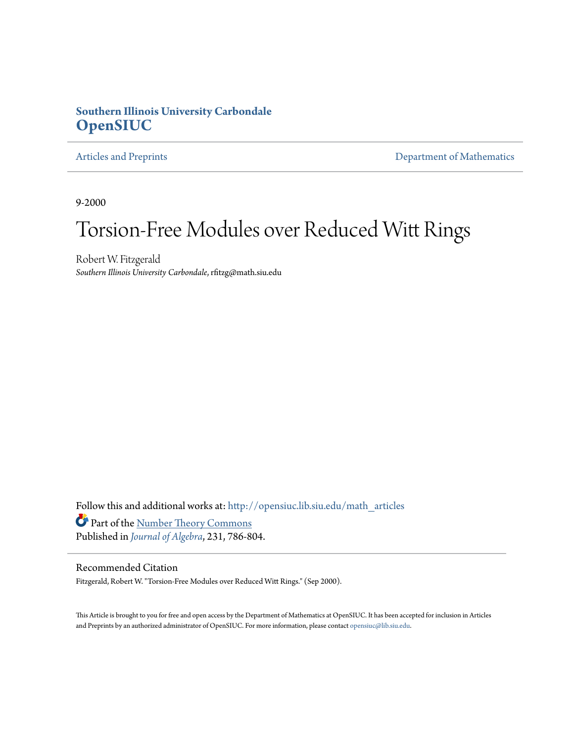# **Southern Illinois University Carbondale [OpenSIUC](http://opensiuc.lib.siu.edu?utm_source=opensiuc.lib.siu.edu%2Fmath_articles%2F29&utm_medium=PDF&utm_campaign=PDFCoverPages)**

[Articles and Preprints](http://opensiuc.lib.siu.edu/math_articles?utm_source=opensiuc.lib.siu.edu%2Fmath_articles%2F29&utm_medium=PDF&utm_campaign=PDFCoverPages) **[Department of Mathematics](http://opensiuc.lib.siu.edu/math?utm_source=opensiuc.lib.siu.edu%2Fmath_articles%2F29&utm_medium=PDF&utm_campaign=PDFCoverPages)** 

9-2000

# Torsion-Free Modules over Reduced Witt Rings

Robert W. Fitzgerald *Southern Illinois University Carbondale*, rfitzg@math.siu.edu

Follow this and additional works at: [http://opensiuc.lib.siu.edu/math\\_articles](http://opensiuc.lib.siu.edu/math_articles?utm_source=opensiuc.lib.siu.edu%2Fmath_articles%2F29&utm_medium=PDF&utm_campaign=PDFCoverPages) Part of the [Number Theory Commons](http://network.bepress.com/hgg/discipline/183?utm_source=opensiuc.lib.siu.edu%2Fmath_articles%2F29&utm_medium=PDF&utm_campaign=PDFCoverPages) Published in *[Journal of Algebra](http://www.elsevier.com/wps/find/journaldescription.cws_home/622850/description#description)*, 231, 786-804.

# Recommended Citation

Fitzgerald, Robert W. "Torsion-Free Modules over Reduced Witt Rings." (Sep 2000).

This Article is brought to you for free and open access by the Department of Mathematics at OpenSIUC. It has been accepted for inclusion in Articles and Preprints by an authorized administrator of OpenSIUC. For more information, please contact [opensiuc@lib.siu.edu](mailto:opensiuc@lib.siu.edu).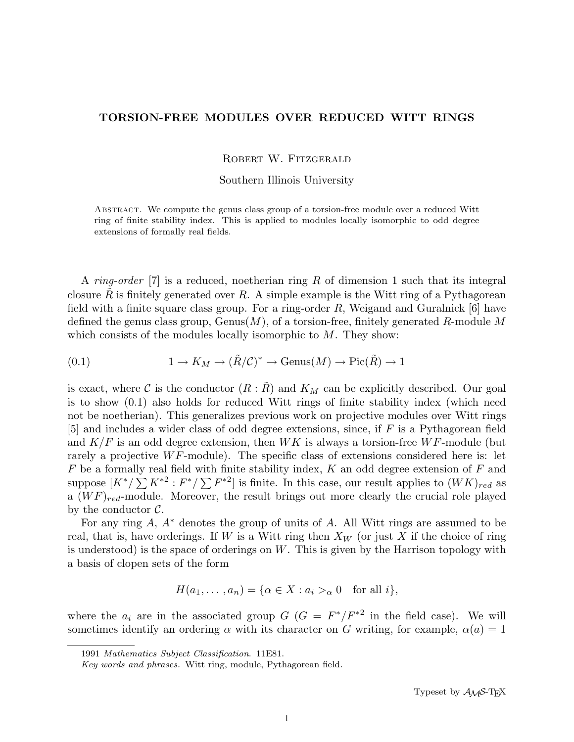# TORSION-FREE MODULES OVER REDUCED WITT RINGS

ROBERT W. FITZGERALD

Southern Illinois University

Abstract. We compute the genus class group of a torsion-free module over a reduced Witt ring of finite stability index. This is applied to modules locally isomorphic to odd degree extensions of formally real fields.

A ring-order  $|7|$  is a reduced, noetherian ring R of dimension 1 such that its integral closure R is finitely generated over R. A simple example is the Witt ring of a Pythagorean field with a finite square class group. For a ring-order  $R$ , Weigand and Guralnick [6] have defined the genus class group,  $Genus(M)$ , of a torsion-free, finitely generated R-module M which consists of the modules locally isomorphic to  $M$ . They show:

(0.1) 
$$
1 \to K_M \to (\tilde{R}/\mathcal{C})^* \to \text{Genus}(M) \to \text{Pic}(\tilde{R}) \to 1
$$

is exact, where C is the conductor  $(R: R)$  and  $K_M$  can be explicitly described. Our goal is to show (0.1) also holds for reduced Witt rings of finite stability index (which need not be noetherian). This generalizes previous work on projective modules over Witt rings [5] and includes a wider class of odd degree extensions, since, if F is a Pythagorean field and  $K/F$  is an odd degree extension, then  $WK$  is always a torsion-free  $WF$ -module (but rarely a projective  $WF$ -module). The specific class of extensions considered here is: let  $F$  be a formally real field with finite stability index,  $K$  an odd degree extension of  $F$  and r be a formally real field with liftle stability muex, A an odd degree extension of r and<br>suppose  $[K^*/\sum K^{*2}:F^*/\sum F^{*2}]$  is finite. In this case, our result applies to  $(WK)_{red}$  as a  $(WF)_{red}$ -module. Moreover, the result brings out more clearly the crucial role played by the conductor  $\mathcal{C}$ .

For any ring  $A, A^*$  denotes the group of units of  $A$ . All Witt rings are assumed to be real, that is, have orderings. If W is a Witt ring then  $X_W$  (or just X if the choice of ring is understood) is the space of orderings on  $W$ . This is given by the Harrison topology with a basis of clopen sets of the form

$$
H(a_1, \ldots, a_n) = \{ \alpha \in X : a_i >_\alpha 0 \text{ for all } i \},
$$

where the  $a_i$  are in the associated group  $G$  ( $G = F^*/F^{*2}$  in the field case). We will sometimes identify an ordering  $\alpha$  with its character on G writing, for example,  $\alpha(a) = 1$ 

<sup>1991</sup> Mathematics Subject Classification. 11E81.

Key words and phrases. Witt ring, module, Pythagorean field.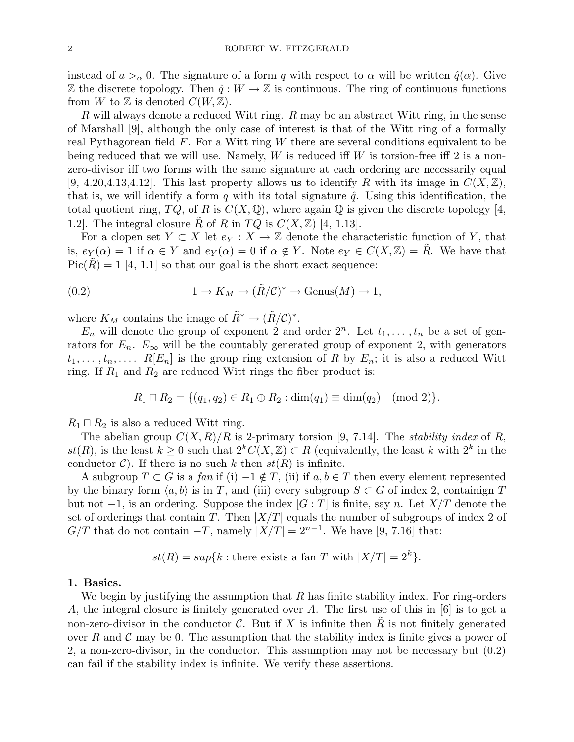instead of  $a >_\alpha 0$ . The signature of a form q with respect to  $\alpha$  will be written  $\hat{q}(\alpha)$ . Give  $\mathbb Z$  the discrete topology. Then  $\hat{q}: W \to \mathbb Z$  is continuous. The ring of continuous functions from W to Z is denoted  $C(W, \mathbb{Z})$ .

R will always denote a reduced Witt ring.  $R$  may be an abstract Witt ring, in the sense of Marshall [9], although the only case of interest is that of the Witt ring of a formally real Pythagorean field  $F$ . For a Witt ring  $W$  there are several conditions equivalent to be being reduced that we will use. Namely, W is reduced iff W is torsion-free iff 2 is a nonzero-divisor iff two forms with the same signature at each ordering are necessarily equal  $[9, 4.20, 4.13, 4.12]$ . This last property allows us to identify R with its image in  $C(X, \mathbb{Z})$ , that is, we will identify a form q with its total signature  $\hat{q}$ . Using this identification, the total quotient ring,  $TQ$ , of R is  $C(X, \mathbb{Q})$ , where again  $\mathbb{Q}$  is given the discrete topology [4, 1.2. The integral closure  $\tilde{R}$  of R in  $TQ$  is  $C(X,\mathbb{Z})$  [4, 1.13].

For a clopen set  $Y \subset X$  let  $e_Y : X \to \mathbb{Z}$  denote the characteristic function of Y, that is,  $e_Y(\alpha) = 1$  if  $\alpha \in Y$  and  $e_Y(\alpha) = 0$  if  $\alpha \notin Y$ . Note  $e_Y \in C(X, \mathbb{Z}) = R$ . We have that  $Pic(R) = 1$  [4, 1.1] so that our goal is the short exact sequence:

(0.2) 
$$
1 \to K_M \to (\tilde{R}/\mathcal{C})^* \to \text{Genus}(M) \to 1,
$$

where  $K_M$  contains the image of  $\tilde{R}^* \to (\tilde{R}/\mathcal{C})^*$ .

 $E_n$  will denote the group of exponent 2 and order  $2^n$ . Let  $t_1, \ldots, t_n$  be a set of genrators for  $E_n$ .  $E_\infty$  will be the countably generated group of exponent 2, with generators  $t_1, \ldots, t_n, \ldots$  R[ $E_n$ ] is the group ring extension of R by  $E_n$ ; it is also a reduced Witt ring. If  $R_1$  and  $R_2$  are reduced Witt rings the fiber product is:

$$
R_1 \sqcap R_2 = \{ (q_1, q_2) \in R_1 \oplus R_2 : \dim(q_1) \equiv \dim(q_2) \pmod{2} \}.
$$

 $R_1 \sqcap R_2$  is also a reduced Witt ring.

The abelian group  $C(X, R)/R$  is 2-primary torsion [9, 7.14]. The *stability index* of R, st(R), is the least  $k \geq 0$  such that  $2^k C(X, \mathbb{Z}) \subset R$  (equivalently, the least k with  $2^k$  in the conductor C). If there is no such k then  $st(R)$  is infinite.

A subgroup  $T \subset G$  is a fan if (i)  $-1 \notin T$ , (ii) if  $a, b \in T$  then every element represented by the binary form  $\langle a, b \rangle$  is in T, and (iii) every subgroup  $S \subset G$  of index 2, containign T but not  $-1$ , is an ordering. Suppose the index  $[G : T]$  is finite, say n. Let  $X/T$  denote the set of orderings that contain T. Then  $|X/T|$  equals the number of subgroups of index 2 of  $G/T$  that do not contain  $-T$ , namely  $|X/T| = 2^{n-1}$ . We have [9, 7.16] that:

$$
st(R) = sup\{k : \text{there exists a fan } T \text{ with } |X/T| = 2^k\}.
$$

#### 1. Basics.

We begin by justifying the assumption that  $R$  has finite stability index. For ring-orders A, the integral closure is finitely generated over A. The first use of this in [6] is to get a non-zero-divisor in the conductor  $\mathcal{C}$ . But if X is infinite then R is not finitely generated over R and C may be 0. The assumption that the stability index is finite gives a power of 2, a non-zero-divisor, in the conductor. This assumption may not be necessary but (0.2) can fail if the stability index is infinite. We verify these assertions.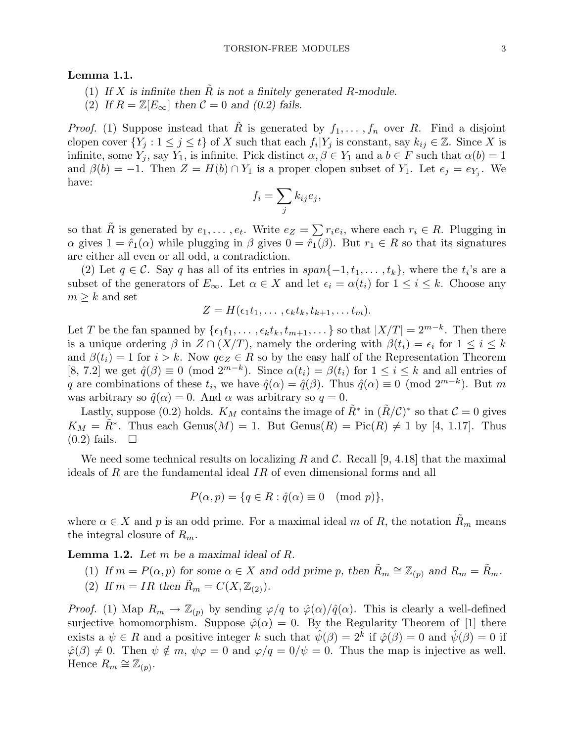# Lemma 1.1.

- (1) If X is infinite then  $\tilde{R}$  is not a finitely generated R-module.
- (2) If  $R = \mathbb{Z}[E_{\infty}]$  then  $\mathcal{C} = 0$  and (0.2) fails.

*Proof.* (1) Suppose instead that  $\tilde{R}$  is generated by  $f_1, \ldots, f_n$  over R. Find a disjoint clopen cover  $\{Y_j : 1 \le j \le t\}$  of X such that each  $f_i|Y_j$  is constant, say  $k_{ij} \in \mathbb{Z}$ . Since X is infinite, some  $Y_j$ , say  $Y_1$ , is infinite. Pick distinct  $\alpha, \beta \in Y_1$  and  $a, b \in F$  such that  $\alpha(b) = 1$ and  $\beta(b) = -1$ . Then  $Z = H(b) \cap Y_1$  is a proper clopen subset of  $Y_1$ . Let  $e_j = e_{Y_j}$ . We have:  $\overline{\phantom{a}}$ 

$$
f_i = \sum_j k_{ij} e_j,
$$

so that  $\tilde{R}$  is generated by  $e_1, \ldots, e_t$ . Write  $e_Z = \sum r_i e_i$ , where each  $r_i \in R$ . Plugging in  $\alpha$  gives  $1 = \hat{r}_1(\alpha)$  while plugging in  $\beta$  gives  $0 = \hat{r}_1(\beta)$ . But  $r_1 \in R$  so that its signatures are either all even or all odd, a contradiction.

(2) Let  $q \in \mathcal{C}$ . Say q has all of its entries in  $span\{-1, t_1, \ldots, t_k\}$ , where the  $t_i$ 's are a subset of the generators of  $E_{\infty}$ . Let  $\alpha \in X$  and let  $\epsilon_i = \alpha(t_i)$  for  $1 \leq i \leq k$ . Choose any  $m \geq k$  and set

$$
Z = H(\epsilon_1 t_1, \ldots, \epsilon_k t_k, t_{k+1}, \ldots t_m).
$$

Let T be the fan spanned by  $\{\epsilon_1 t_1, \ldots, \epsilon_k t_k, t_{m+1}, \ldots\}$  so that  $|X/T| = 2^{m-k}$ . Then there is a unique ordering  $\beta$  in  $Z \cap (X/T)$ , namely the ordering with  $\beta(t_i) = \epsilon_i$  for  $1 \leq i \leq k$ and  $\beta(t_i) = 1$  for  $i > k$ . Now  $qe_Z \in R$  so by the easy half of the Representation Theorem [8, 7.2] we get  $\hat{q}(\beta) \equiv 0 \pmod{2^{m-k}}$ . Since  $\alpha(t_i) = \beta(t_i)$  for  $1 \leq i \leq k$  and all entries of q are combinations of these  $t_i$ , we have  $\hat{q}(\alpha) = \hat{q}(\beta)$ . Thus  $\hat{q}(\alpha) \equiv 0 \pmod{2^{m-k}}$ . But m was arbitrary so  $\hat{q}(\alpha) = 0$ . And  $\alpha$  was arbitrary so  $q = 0$ .

Lastly, suppose (0.2) holds.  $K_M$  contains the image of  $\tilde{R}^*$  in  $(\tilde{R}/\mathcal{C})^*$  so that  $\mathcal{C} = 0$  gives  $K_M = \tilde{R}^*$ . Thus each  $Genus(M) = 1$ . But  $Genus(R) = Pic(R) \neq 1$  by [4, 1.17]. Thus  $(0.2)$  fails.  $\Box$ 

We need some technical results on localizing R and C. Recall [9, 4.18] that the maximal ideals of R are the fundamental ideal  $IR$  of even dimensional forms and all

$$
P(\alpha, p) = \{q \in R : \hat{q}(\alpha) \equiv 0 \pmod{p}\},\
$$

where  $\alpha \in X$  and p is an odd prime. For a maximal ideal m of R, the notation  $R_m$  means the integral closure of  $R_m$ .

**Lemma 1.2.** Let  $m$  be a maximal ideal of  $R$ .

- (1) If  $m = P(\alpha, p)$  for some  $\alpha \in X$  and odd prime p, then  $\tilde{R}_m \cong \mathbb{Z}_{(p)}$  and  $R_m = \tilde{R}_m$ .
- (2) If  $m = IR$  then  $\tilde{R}_m = C(X, \mathbb{Z}_{(2)})$ .

*Proof.* (1) Map  $R_m \to \mathbb{Z}_{(p)}$  by sending  $\varphi/q$  to  $\hat{\varphi}(\alpha)/\hat{q}(\alpha)$ . This is clearly a well-defined surjective homomorphism. Suppose  $\hat{\varphi}(\alpha) = 0$ . By the Regularity Theorem of [1] there exists a  $\psi \in R$  and a positive integer k such that  $\hat{\psi}(\beta) = 2^k$  if  $\hat{\varphi}(\beta) = 0$  and  $\hat{\psi}(\beta) = 0$  if  $\hat{\varphi}(\beta) \neq 0$ . Then  $\psi \notin m$ ,  $\psi \varphi = 0$  and  $\varphi/q = 0/\psi = 0$ . Thus the map is injective as well. Hence  $R_m \cong \mathbb{Z}_{(p)}$ .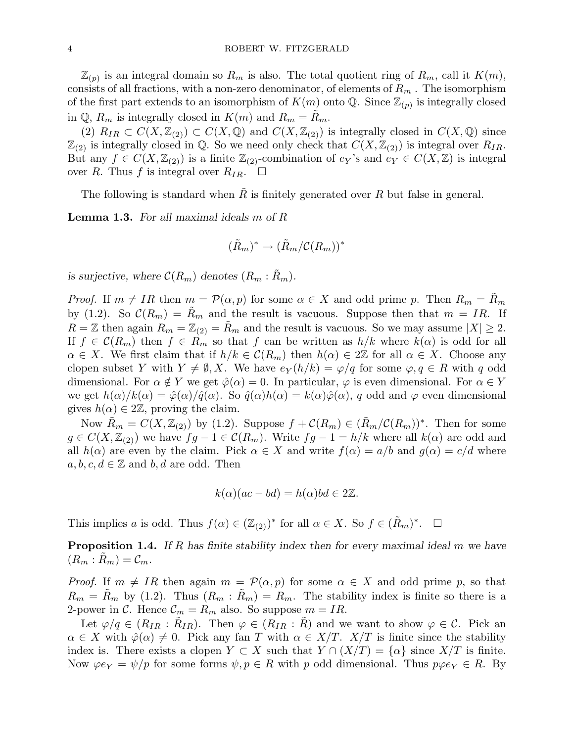$\mathbb{Z}_{(p)}$  is an integral domain so  $R_m$  is also. The total quotient ring of  $R_m$ , call it  $K(m)$ , consists of all fractions, with a non-zero denominator, of elements of  $R_m$ . The isomorphism of the first part extends to an isomorphism of  $K(m)$  onto Q. Since  $\mathbb{Z}_{(p)}$  is integrally closed in  $\mathbb{Q}, R_m$  is integrally closed in  $K(m)$  and  $R_m = R_m$ .

(2)  $R_{IR} \subset C(X,\mathbb{Z}_{(2)}) \subset C(X,\mathbb{Q})$  and  $C(X,\mathbb{Z}_{(2)})$  is integrally closed in  $C(X,\mathbb{Q})$  since  $\mathbb{Z}_{(2)}$  is integrally closed in Q. So we need only check that  $C(X, \mathbb{Z}_{(2)})$  is integral over  $R_{IR}$ . But any  $f \in C(X, \mathbb{Z}_{(2)})$  is a finite  $\mathbb{Z}_{(2)}$ -combination of  $e_Y$ 's and  $e_Y \in C(X, \mathbb{Z})$  is integral over R. Thus f is integral over  $R_{IR}$ .  $\Box$ 

The following is standard when R is finitely generated over R but false in general.

**Lemma 1.3.** For all maximal ideals m of R

$$
(\tilde{R}_m)^* \to (\tilde{R}_m/\mathcal{C}(R_m))^*
$$

is surjective, where  $\mathcal{C}(R_m)$  denotes  $(R_m : R_m)$ .

*Proof.* If  $m \neq IR$  then  $m = \mathcal{P}(\alpha, p)$  for some  $\alpha \in X$  and odd prime p. Then  $R_m = \tilde{R}_m$ by (1.2). So  $\mathcal{C}(R_m) = \tilde{R}_m$  and the result is vacuous. Suppose then that  $m = IR$ . If  $R = \mathbb{Z}$  then again  $R_m = \mathbb{Z}_{(2)} = \tilde{R}_m$  and the result is vacuous. So we may assume  $|X| \geq 2$ . If  $f \in \mathcal{C}(R_m)$  then  $f \in R_m$  so that f can be written as  $h/k$  where  $k(\alpha)$  is odd for all  $\alpha \in X$ . We first claim that if  $h/k \in \mathcal{C}(R_m)$  then  $h(\alpha) \in 2\mathbb{Z}$  for all  $\alpha \in X$ . Choose any clopen subset Y with  $Y \neq \emptyset$ , X. We have  $e_Y(h/k) = \varphi/q$  for some  $\varphi, q \in R$  with q odd dimensional. For  $\alpha \notin Y$  we get  $\hat{\varphi}(\alpha) = 0$ . In particular,  $\varphi$  is even dimensional. For  $\alpha \in Y$ we get  $h(\alpha)/k(\alpha) = \hat{\varphi}(\alpha)/\hat{q}(\alpha)$ . So  $\hat{q}(\alpha)h(\alpha) = k(\alpha)\hat{\varphi}(\alpha)$ , q odd and  $\varphi$  even dimensional gives  $h(\alpha) \in 2\mathbb{Z}$ , proving the claim.

Now  $\tilde{R}_m = C(X, \mathbb{Z}_{(2)})$  by (1.2). Suppose  $f + C(R_m) \in (\tilde{R}_m/\mathcal{C}(R_m))^*$ . Then for some  $g \in C(X, \mathbb{Z}_{(2)})$  we have  $fg - 1 \in C(R_m)$ . Write  $fg - 1 = h/k$  where all  $k(\alpha)$  are odd and all  $h(\alpha)$  are even by the claim. Pick  $\alpha \in X$  and write  $f(\alpha) = a/b$  and  $g(\alpha) = c/d$  where  $a, b, c, d \in \mathbb{Z}$  and  $b, d$  are odd. Then

$$
k(\alpha)(ac - bd) = h(\alpha)bd \in 2\mathbb{Z}.
$$

This implies a is odd. Thus  $f(\alpha) \in (\mathbb{Z}_{(2)})^*$  for all  $\alpha \in X$ . So  $f \in (\tilde{R}_m)^*$ .  $\Box$ 

**Proposition 1.4.** If  $R$  has finite stability index then for every maximal ideal  $m$  we have  $(R_m : \tilde{R}_m) = C_m.$ 

*Proof.* If  $m \neq IR$  then again  $m = \mathcal{P}(\alpha, p)$  for some  $\alpha \in X$  and odd prime p, so that  $R_m = \tilde{R}_m$  by (1.2). Thus  $(R_m : \tilde{R}_m) = R_m$ . The stability index is finite so there is a 2-power in C. Hence  $\mathcal{C}_m = R_m$  also. So suppose  $m = IR$ .

Let  $\varphi/q \in (R_{IR} : \tilde{R}_{IR})$ . Then  $\varphi \in (R_{IR} : \tilde{R})$  and we want to show  $\varphi \in \mathcal{C}$ . Pick an  $\alpha \in X$  with  $\hat{\varphi}(\alpha) \neq 0$ . Pick any fan T with  $\alpha \in X/T$ .  $X/T$  is finite since the stability index is. There exists a clopen  $Y \subset X$  such that  $Y \cap (X/T) = \{ \alpha \}$  since  $X/T$  is finite. Now  $\varphi e_Y = \psi / p$  for some forms  $\psi, p \in R$  with p odd dimensional. Thus  $p\varphi e_Y \in R$ . By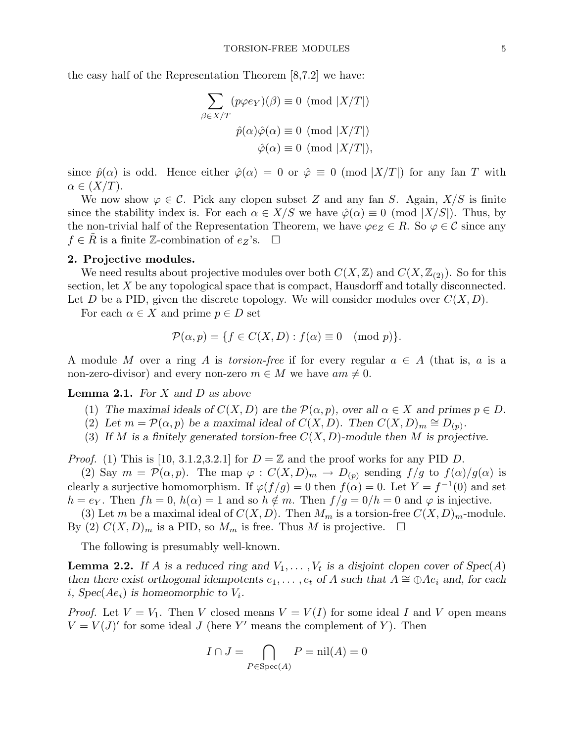the easy half of the Representation Theorem [8,7.2] we have:

$$
\sum_{\beta \in X/T} (p\varphi e_Y)(\beta) \equiv 0 \pmod{|X/T|}
$$

$$
\hat{p}(\alpha)\hat{\varphi}(\alpha) \equiv 0 \pmod{|X/T|}
$$

$$
\hat{\varphi}(\alpha) \equiv 0 \pmod{|X/T|},
$$

since  $\hat{p}(\alpha)$  is odd. Hence either  $\hat{\varphi}(\alpha) = 0$  or  $\hat{\varphi} \equiv 0 \pmod{X/T}$  for any fan T with  $\alpha \in (X/T)$ .

We now show  $\varphi \in \mathcal{C}$ . Pick any clopen subset Z and any fan S. Again,  $X/S$  is finite since the stability index is. For each  $\alpha \in X/S$  we have  $\hat{\varphi}(\alpha) \equiv 0 \pmod{X/S}$ . Thus, by the non-trivial half of the Representation Theorem, we have  $\varphi e_Z \in R$ . So  $\varphi \in \mathcal{C}$  since any  $f \in R$  is a finite Z-combination of  $e_Z$ 's.  $\Box$ 

#### 2. Projective modules.

We need results about projective modules over both  $C(X, \mathbb{Z})$  and  $C(X, \mathbb{Z}_{(2)})$ . So for this section, let X be any topological space that is compact, Hausdorff and totally disconnected. Let D be a PID, given the discrete topology. We will consider modules over  $C(X, D)$ .

For each  $\alpha \in X$  and prime  $p \in D$  set

$$
\mathcal{P}(\alpha, p) = \{ f \in C(X, D) : f(\alpha) \equiv 0 \pmod{p} \}.
$$

A module M over a ring A is torsion-free if for every regular  $a \in A$  (that is, a is a non-zero-divisor) and every non-zero  $m \in M$  we have  $am \neq 0$ .

# **Lemma 2.1.** For  $X$  and  $D$  as above

- (1) The maximal ideals of  $C(X, D)$  are the  $\mathcal{P}(\alpha, p)$ , over all  $\alpha \in X$  and primes  $p \in D$ .
- (2) Let  $m = \mathcal{P}(\alpha, p)$  be a maximal ideal of  $C(X, D)$ . Then  $C(X, D)_m \cong D_{(p)}$ .
- (3) If M is a finitely generated torsion-free  $C(X, D)$ -module then M is projective.

*Proof.* (1) This is [10, 3.1.2,3.2.1] for  $D = \mathbb{Z}$  and the proof works for any PID D.

(2) Say  $m = \mathcal{P}(\alpha, p)$ . The map  $\varphi : C(X, D)_m \to D_{(p)}$  sending  $f/g$  to  $f(\alpha)/g(\alpha)$  is clearly a surjective homomorphism. If  $\varphi(f/g) = 0$  then  $f(\alpha) = 0$ . Let  $Y = f^{-1}(0)$  and set  $h = e_Y$ . Then  $fh = 0$ ,  $h(\alpha) = 1$  and so  $h \notin m$ . Then  $f/g = 0/h = 0$  and  $\varphi$  is injective.

(3) Let m be a maximal ideal of  $C(X, D)$ . Then  $M_m$  is a torsion-free  $C(X, D)_m$ -module. By (2)  $C(X, D)_m$  is a PID, so  $M_m$  is free. Thus M is projective.  $\Box$ 

The following is presumably well-known.

**Lemma 2.2.** If A is a reduced ring and  $V_1, \ldots, V_t$  is a disjoint clopen cover of  $Spec(A)$ then there exist orthogonal idempotents  $e_1, \ldots, e_t$  of A such that  $A \cong \bigoplus Ae_i$  and, for each i,  $Spec(Ae_i)$  is homeomorphic to  $V_i$ .

*Proof.* Let  $V = V_1$ . Then V closed means  $V = V(I)$  for some ideal I and V open means  $V = V(J)'$  for some ideal J (here Y' means the complement of Y). Then

$$
I \cap J = \bigcap_{P \in \text{Spec}(A)} P = \text{nil}(A) = 0
$$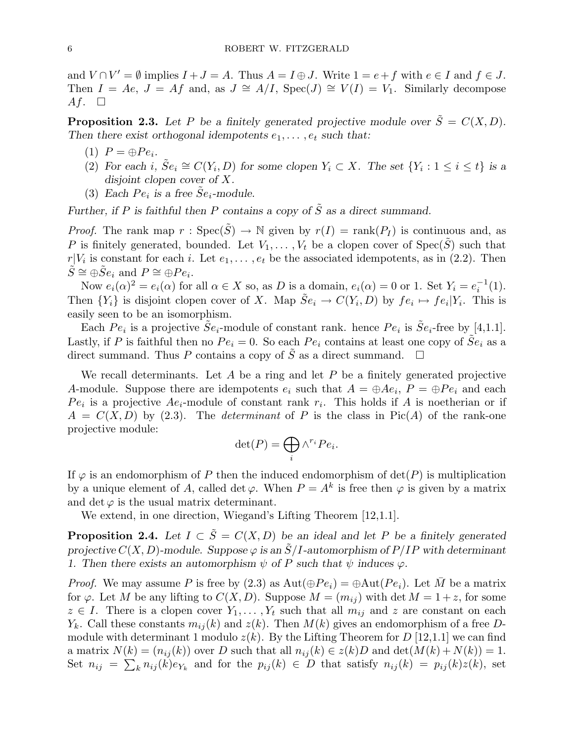and  $V \cap V' = \emptyset$  implies  $I + J = A$ . Thus  $A = I \oplus J$ . Write  $1 = e + f$  with  $e \in I$  and  $f \in J$ . Then  $I = Ae$ ,  $J = Af$  and, as  $J \cong A/I$ ,  $Spec(J) \cong V(I) = V_1$ . Similarly decompose Af.  $\square$ 

**Proposition 2.3.** Let P be a finitely generated projective module over  $\tilde{S} = C(X, D)$ . Then there exist orthogonal idempotents  $e_1, \ldots, e_t$  such that:

- (1)  $P = \bigoplus Pe_i$ .
- (2) For each i,  $\tilde{S}e_i \cong C(Y_i, D)$  for some clopen  $Y_i \subset X$ . The set  $\{Y_i : 1 \le i \le t\}$  is a disjoint clopen cover of X.
- (3) Each  $Pe_i$  is a free  $\tilde{S}e_i$ -module.

Further, if P is faithful then P contains a copy of  $\tilde{S}$  as a direct summand.

*Proof.* The rank map  $r : \text{Spec}(\tilde{S}) \to \mathbb{N}$  given by  $r(I) = \text{rank}(P_I)$  is continuous and, as P is finitely generated, bounded. Let  $V_1, \ldots, V_t$  be a clopen cover of  $Spec(\tilde{S})$  such that  $r|V_i$  is constant for each i. Let  $e_1, \ldots, e_t$  be the associated idempotents, as in (2.2). Then  $\tilde{S} \cong \oplus \tilde{S}e_i$  and  $P \cong \oplus Pe_i$ .

Now  $e_i(\alpha)^2 = e_i(\alpha)$  for all  $\alpha \in X$  so, as D is a domain,  $e_i(\alpha) = 0$  or 1. Set  $Y_i = e_i^{-1}$  $i^{-1}(1)$ . Then  $\{Y_i\}$  is disjoint clopen cover of X. Map  $\tilde{S}e_i \to C(Y_i, D)$  by  $fe_i \mapsto fe_i|Y_i$ . This is easily seen to be an isomorphism.

Each  $Pe_i$  is a projective  $\tilde{S}e_i$ -module of constant rank. hence  $Pe_i$  is  $\tilde{S}e_i$ -free by [4,1.1]. Lastly, if P is faithful then no  $Pe_i = 0$ . So each  $Pe_i$  contains at least one copy of  $\tilde{Se}_i$  as a direct summand. Thus P contains a copy of  $\tilde{S}$  as a direct summand.  $\square$ 

We recall determinants. Let  $A$  be a ring and let  $P$  be a finitely generated projective A-module. Suppose there are idempotents  $e_i$  such that  $A = \bigoplus Ae_i$ ,  $P = \bigoplus Pe_i$  and each  $Pe_i$  is a projective  $Ae_i$ -module of constant rank  $r_i$ . This holds if A is noetherian or if  $A = C(X, D)$  by (2.3). The *determinant* of P is the class in Pic(A) of the rank-one projective module:

$$
\det(P) = \bigoplus_i \wedge^{r_i} Pe_i.
$$

If  $\varphi$  is an endomorphism of P then the induced endomorphism of  $\det(P)$  is multiplication by a unique element of A, called det  $\varphi$ . When  $P = A^k$  is free then  $\varphi$  is given by a matrix and det  $\varphi$  is the usual matrix determinant.

We extend, in one direction, Wiegand's Lifting Theorem [12,1.1].

**Proposition 2.4.** Let  $I \subset \tilde{S} = C(X, D)$  be an ideal and let P be a finitely generated projective  $C(X, D)$ -module. Suppose  $\varphi$  is an  $\tilde{S}/I$ -automorphism of  $P/IP$  with determinant 1. Then there exists an automorphism  $\psi$  of P such that  $\psi$  induces  $\varphi$ .

*Proof.* We may assume P is free by (2.3) as  $Aut(\oplus Pe_i) = \oplus Aut(Pe_i)$ . Let M be a matrix for  $\varphi$ . Let M be any lifting to  $C(X, D)$ . Suppose  $M = (m_{ij})$  with det  $M = 1 + z$ , for some  $z \in I$ . There is a clopen cover  $Y_1, \ldots, Y_t$  such that all  $m_{ij}$  and z are constant on each  $Y_k$ . Call these constants  $m_{ij}(k)$  and  $z(k)$ . Then  $M(k)$  gives an endomorphism of a free Dmodule with determinant 1 modulo  $z(k)$ . By the Lifting Theorem for D [12,1.1] we can find a matrix  $N(k) = (n_{ij}(k))$  over D such that all  $n_{ij}(k) \in z(k)D$  and  $\det(M(k) + N(k)) = 1$ . Set  $n_{ij} = \sum_k n_{ij}(k) e_{Y_k}$  and for the  $p_{ij}(k) \in D$  that satisfy  $n_{ij}(k) = p_{ij}(k)z(k)$ , set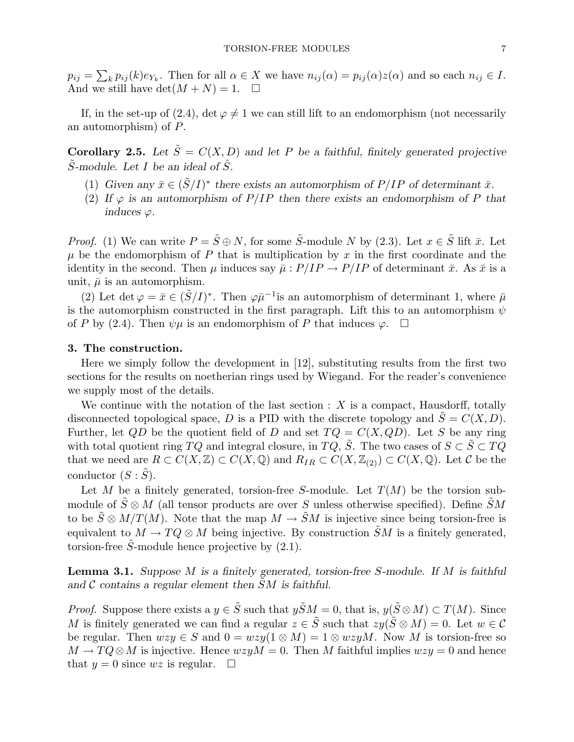$p_{ij} =$  $\overline{ }$  $k p_{ij}(k) e_{Y_k}$ . Then for all  $\alpha \in X$  we have  $n_{ij}(\alpha) = p_{ij}(\alpha) z(\alpha)$  and so each  $n_{ij} \in I$ . And we still have  $\det(M+N) = 1. \quad \Box$ 

If, in the set-up of (2.4), det  $\varphi \neq 1$  we can still lift to an endomorphism (not necessarily an automorphism) of P.

Corollary 2.5. Let  $\tilde{S} = C(X, D)$  and let P be a faithful, finitely generated projective  $\tilde{S}$ -module. Let I be an ideal of  $\hat{S}$ .

- (1) Given any  $\bar{x} \in (\tilde{S}/I)^*$  there exists an automorphism of  $P/IP$  of determinant  $\bar{x}$ .
- (2) If  $\varphi$  is an automorphism of  $P/IP$  then there exists an endomorphism of P that induces  $\varphi$ .

*Proof.* (1) We can write  $P = \tilde{S} \oplus N$ , for some  $\tilde{S}$ -module N by (2.3). Let  $x \in \tilde{S}$  lift  $\bar{x}$ . Let  $\mu$  be the endomorphism of P that is multiplication by x in the first coordinate and the identity in the second. Then  $\mu$  induces say  $\bar{\mu}: P/IP \to P/IP$  of determinant  $\bar{x}$ . As  $\bar{x}$  is a unit,  $\bar{\mu}$  is an automorphism.

(2) Let det  $\varphi = \bar{x} \in (\tilde{S}/I)^*$ . Then  $\varphi \bar{\mu}^{-1}$  is an automorphism of determinant 1, where  $\bar{\mu}$ is the automorphism constructed in the first paragraph. Lift this to an automorphism  $\psi$ of P by (2.4). Then  $\psi\mu$  is an endomorphism of P that induces  $\varphi$ .  $\Box$ 

#### 3. The construction.

Here we simply follow the development in [12], substituting results from the first two sections for the results on noetherian rings used by Wiegand. For the reader's convenience we supply most of the details.

We continue with the notation of the last section  $: X$  is a compact, Hausdorff, totally disconnected topological space, D is a PID with the discrete topology and  $S = C(X, D)$ . Further, let QD be the quotient field of D and set  $TQ = C(X, QD)$ . Let S be any ring with total quotient ring TQ and integral closure, in TQ,  $\tilde{S}$ . The two cases of  $S \subset \tilde{S} \subset TQ$ that we need are  $R \subset C(X,\mathbb{Z}) \subset C(X,\mathbb{Q})$  and  $R_{IR} \subset C(X,\mathbb{Z}_{(2)}) \subset C(X,\mathbb{Q})$ . Let C be the conductor  $(S : S)$ .

Let M be a finitely generated, torsion-free S-module. Let  $T(M)$  be the torsion submodule of  $\tilde{S} \otimes M$  (all tensor products are over S unless otherwise specified). Define  $\tilde{S}M$ to be  $\tilde{S} \otimes M/T(M)$ . Note that the map  $M \to \tilde{S}M$  is injective since being torsion-free is equivalent to  $M \to TQ \otimes M$  being injective. By construction  $\tilde{S}M$  is a finitely generated, torsion-free  $\tilde{S}$ -module hence projective by  $(2.1)$ .

**Lemma 3.1.** Suppose  $M$  is a finitely generated, torsion-free  $S$ -module. If  $M$  is faithful and  $\mathcal C$  contains a regular element then  $\tilde{S}M$  is faithful.

*Proof.* Suppose there exists a  $y \in \tilde{S}$  such that  $y\tilde{S}M = 0$ , that is,  $y(\tilde{S} \otimes M) \subset T(M)$ . Since M is finitely generated we can find a regular  $z \in \tilde{S}$  such that  $zy(\tilde{S} \otimes M) = 0$ . Let  $w \in \mathcal{C}$ be regular. Then  $wzy \in S$  and  $0 = wzy(1 \otimes M) = 1 \otimes wzyM$ . Now M is torsion-free so  $M \to TQ \otimes M$  is injective. Hence  $wzyM = 0$ . Then M faithful implies  $wzy = 0$  and hence that  $y = 0$  since  $wz$  is regular.  $\square$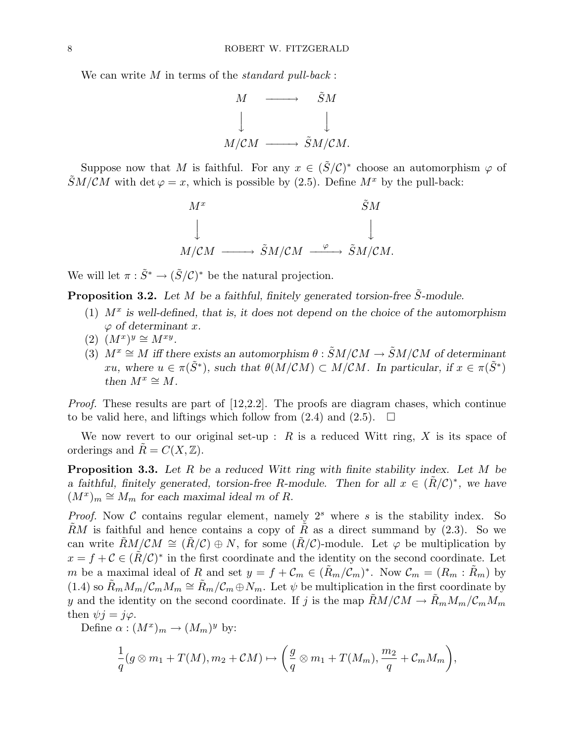We can write  $M$  in terms of the *standard pull-back*:



Suppose now that M is faithful. For any  $x \in (\tilde{S}/\mathcal{C})^*$  choose an automorphism  $\varphi$  of  $\widetilde{S}M/CM$  with det  $\varphi = x$ , which is possible by (2.5). Define  $M^x$  by the pull-back:



We will let  $\pi : \tilde{S}^* \to (\tilde{S}/\mathcal{C})^*$  be the natural projection.

**Proposition 3.2.** Let M be a faithful, finitely generated torsion-free  $\tilde{S}$ -module.

- (1)  $M^x$  is well-defined, that is, it does not depend on the choice of the automorphism  $\varphi$  of determinant x.
- $(2)$   $(M^x)^y \cong M^{xy}.$
- (3)  $M^x \cong M$  iff there exists an automorphism  $\theta : \tilde{S}M/CM \to \tilde{S}M/CM$  of determinant xu, where  $u \in \pi(\tilde{S}^*)$ , such that  $\theta(M/CM) \subset M/CM$ . In particular, if  $x \in \pi(\tilde{S}^*)$ then  $M^x \cong M$ .

Proof. These results are part of [12,2.2]. The proofs are diagram chases, which continue to be valid here, and liftings which follow from  $(2.4)$  and  $(2.5)$ .  $\Box$ 

We now revert to our original set-up :  $R$  is a reduced Witt ring,  $X$  is its space of orderings and  $R = C(X, \mathbb{Z})$ .

**Proposition 3.3.** Let  $R$  be a reduced Witt ring with finite stability index. Let  $M$  be a faithful, finitely generated, torsion-free R-module. Then for all  $x \in (\tilde{R}/\mathcal{C})^*$ , we have  $(M^x)_m \cong M_m$  for each maximal ideal m of R.

*Proof.* Now C contains regular element, namely  $2<sup>s</sup>$  where s is the stability index. So  $\tilde{R}M$  is faithful and hence contains a copy of  $\tilde{R}$  as a direct summand by (2.3). So we can write  $\tilde{R}M/CM \cong (\tilde{R}/\mathcal{C}) \oplus N$ , for some  $(\tilde{R}/\mathcal{C})$ -module. Let  $\varphi$  be multiplication by  $x = f + C \in (\tilde{R}/\mathcal{C})^*$  in the first coordinate and the identity on the second coordinate. Let m be a maximal ideal of R and set  $y = f + \mathcal{C}_m \in (\tilde{R}_m/\mathcal{C}_m)^*$ . Now  $\mathcal{C}_m = (R_m : \tilde{R}_m)$  by (1.4) so  $\tilde{R}_m M_m / C_m M_m \cong \tilde{R}_m / C_m \oplus N_m$ . Let  $\psi$  be multiplication in the first coordinate by y and the identity on the second coordinate. If j is the map  $\tilde{R}M/CM \to \tilde{R}_mM_m/\mathcal{C}_mM_m$ then  $\psi j = j\varphi$ .

Define  $\alpha : (M^x)_m \to (M_m)^y$  by:

$$
\frac{1}{q}(g\otimes m_1+T(M),m_2+\mathcal{C}M)\mapsto \bigg(\frac{g}{q}\otimes m_1+T(M_m),\frac{m_2}{q}+\mathcal{C}_mM_m\bigg),
$$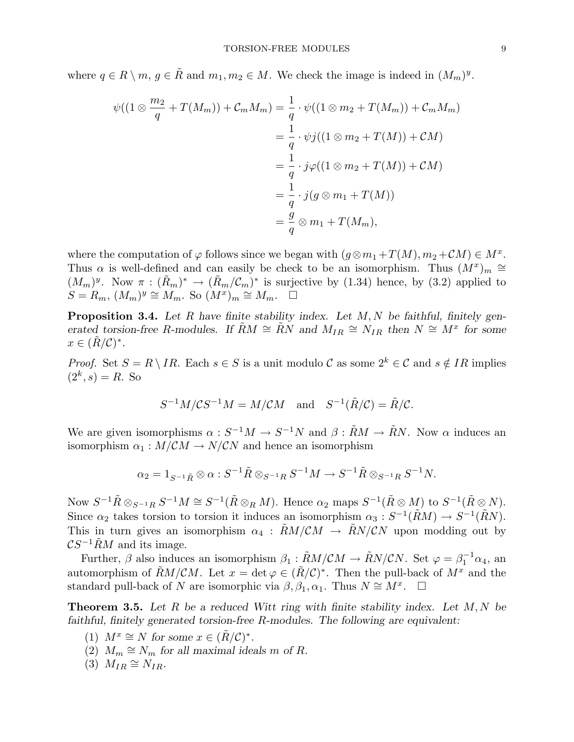where  $q \in R \setminus m$ ,  $q \in \tilde{R}$  and  $m_1, m_2 \in M$ . We check the image is indeed in  $(M_m)^y$ .

$$
\psi((1 \otimes \frac{m_2}{q} + T(M_m)) + C_m M_m) = \frac{1}{q} \cdot \psi((1 \otimes m_2 + T(M_m)) + C_m M_m)
$$
  

$$
= \frac{1}{q} \cdot \psi j((1 \otimes m_2 + T(M)) + CM)
$$
  

$$
= \frac{1}{q} \cdot j\varphi((1 \otimes m_2 + T(M)) + CM)
$$
  

$$
= \frac{1}{q} \cdot j(g \otimes m_1 + T(M))
$$
  

$$
= \frac{g}{q} \otimes m_1 + T(M_m),
$$

where the computation of  $\varphi$  follows since we began with  $(g \otimes m_1 + T(M), m_2 + CM) \in M^x$ . Thus  $\alpha$  is well-defined and can easily be check to be an isomorphism. Thus  $(M^x)_m \cong$  $(M_m)^y$ . Now  $\pi : (\tilde{R}_m)^* \to (\tilde{R}_m/\mathcal{C}_m)^*$  is surjective by (1.34) hence, by (3.2) applied to  $S = R_m$ ,  $(M_m)^y \cong M_m$ . So  $(M^x)_m \cong M_m$ .  $\square$ 

**Proposition 3.4.** Let R have finite stability index. Let  $M$ ,  $N$  be faithful, finitely generated torsion-free R-modules. If  $\tilde{R}M \cong \tilde{R}N$  and  $M_{IR} \cong N_{IR}$  then  $N \cong M^x$  for some  $x \in (\tilde{R}/\mathcal{C})^*$ .

*Proof.* Set  $S = R \setminus IR$ . Each  $s \in S$  is a unit modulo C as some  $2^k \in \mathcal{C}$  and  $s \notin IR$  implies  $(2^k, s) = R$ . So

$$
S^{-1}M/\mathcal{C}S^{-1}M=M/\mathcal{C}M\quad\text{and}\quad S^{-1}(\tilde{R}/\mathcal{C})=\tilde{R}/\mathcal{C}.
$$

We are given isomorphisms  $\alpha: S^{-1}M \to S^{-1}N$  and  $\beta: \tilde{R}M \to \tilde{R}N$ . Now  $\alpha$  induces an isomorphism  $\alpha_1 : M/CM \to N/CN$  and hence an isomorphism

$$
\alpha_2 = 1_{S^{-1}\tilde{R}} \otimes \alpha : S^{-1}\tilde{R} \otimes_{S^{-1}R} S^{-1}M \to S^{-1}\tilde{R} \otimes_{S^{-1}R} S^{-1}N.
$$

Now  $S^{-1}\tilde{R}\otimes_{S^{-1}R}S^{-1}M\cong S^{-1}(\tilde{R}\otimes_R M)$ . Hence  $\alpha_2$  maps  $S^{-1}(\tilde{R}\otimes M)$  to  $S^{-1}(\tilde{R}\otimes N)$ . Since  $\alpha_2$  takes torsion to torsion it induces an isomorphism  $\alpha_3: S^{-1}(\tilde{R}M) \to S^{-1}(\tilde{R}N)$ . This in turn gives an isomorphism  $\alpha_4$ :  $\ddot{R}M/CM \rightarrow \ddot{R}N/CN$  upon modding out by  $\mathcal{C}S^{-1}\tilde{R}M$  and its image.

Further,  $\beta$  also induces an isomorphism  $\beta_1 : \tilde{R}M/\mathcal{C}M \to \tilde{R}N/\mathcal{C}N$ . Set  $\varphi = \beta_1^{-1}$  $i_1^{-1}\alpha_4$ , an automorphism of  $\tilde{R}M/CM$ . Let  $x = \det \varphi \in (\tilde{R}/\mathcal{C})^*$ . Then the pull-back of  $M^x$  and the standard pull-back of N are isomorphic via  $\beta, \beta_1, \alpha_1$ . Thus  $N \cong M^x$ .  $\Box$ 

**Theorem 3.5.** Let R be a reduced Witt ring with finite stability index. Let  $M, N$  be faithful, finitely generated torsion-free R-modules. The following are equivalent:

- (1)  $M^x \cong N$  for some  $x \in (\tilde{R}/\mathcal{C})^*$ .
- (2)  $M_m \cong N_m$  for all maximal ideals m of R.
- $(3)$   $M_{IR} \cong N_{IR}$ .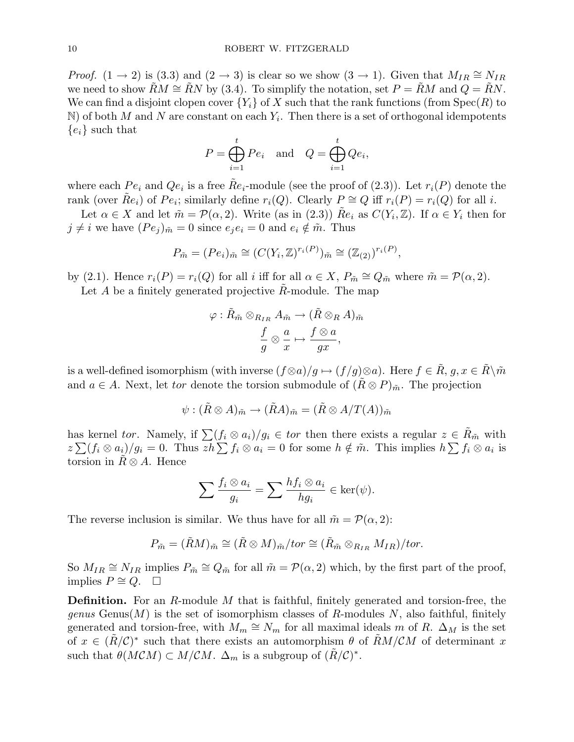*Proof.* (1 → 2) is (3.3) and (2 → 3) is clear so we show (3 → 1). Given that  $M_{IR} \cong N_{IR}$ we need to show  $\widetilde{R}M \cong \widetilde{R}N$  by (3.4). To simplify the notation, set  $P = \widetilde{R}M$  and  $Q = \widetilde{R}N$ . We can find a disjoint clopen cover  ${Y_i}$  of X such that the rank functions (from Spec(R) to  $N$ ) of both M and N are constant on each  $Y_i$ . Then there is a set of orthogonal idempotents  ${e_i}$  such that

$$
P = \bigoplus_{i=1}^{t} P e_i \quad \text{and} \quad Q = \bigoplus_{i=1}^{t} Q e_i,
$$

where each  $Pe_i$  and  $Qe_i$  is a free  $\tilde{R}e_i$ -module (see the proof of (2.3)). Let  $r_i(P)$  denote the rank (over  $\tilde{R}e_i$ ) of  $Pe_i$ ; similarly define  $r_i(Q)$ . Clearly  $P \cong Q$  iff  $r_i(P) = r_i(Q)$  for all i.

Let  $\alpha \in X$  and let  $\tilde{m} = \mathcal{P}(\alpha, 2)$ . Write (as in (2.3))  $\tilde{R}e_i$  as  $C(Y_i, \mathbb{Z})$ . If  $\alpha \in Y_i$  then for  $j \neq i$  we have  $(Pe_j)_{\tilde{m}} = 0$  since  $e_i e_i = 0$  and  $e_i \notin \tilde{m}$ . Thus

$$
P_{\tilde{m}} = (Pe_i)_{\tilde{m}} \cong (C(Y_i, \mathbb{Z})^{r_i(P)})_{\tilde{m}} \cong (\mathbb{Z}_{(2)})^{r_i(P)},
$$

by (2.1). Hence  $r_i(P) = r_i(Q)$  for all i iff for all  $\alpha \in X$ ,  $P_{\tilde{m}} \cong Q_{\tilde{m}}$  where  $\tilde{m} = \mathcal{P}(\alpha, 2)$ . Let  $A$  be a finitely generated projective  $R$ -module. The map

$$
\varphi: \tilde{R}_{\tilde{m}}\otimes_{R_{IR}}A_{\tilde{m}}\rightarrow (\tilde{R}\otimes_R A)_{\tilde{m}}\\ \frac{f}{g}\otimes \frac{a}{x}\mapsto \frac{f\otimes a}{gx},
$$

is a well-defined isomorphism (with inverse  $(f \otimes a)/g \mapsto (f/g) \otimes a$ ). Here  $f \in \tilde{R}$ ,  $g, x \in \tilde{R} \setminus \tilde{m}$ and  $a \in A$ . Next, let tor denote the torsion submodule of  $(R \otimes P)_{\tilde{m}}$ . The projection

$$
\psi : (\tilde{R} \otimes A)_{\tilde{m}} \to (\tilde{R}A)_{\tilde{m}} = (\tilde{R} \otimes A/T(A))_{\tilde{m}}
$$

has kernel tor. Namely, if  $\sum (f_i \otimes a_i)/g_i \in \text{tor}$  then there exists a regular  $z \in \tilde{R}_{\tilde{m}}$  with reading the function of the matrix  $\sum (f_i \otimes a_i)/g_i \in \omega$  for the exists a regular  $z \in R_{\tilde{m}}$  with  $z \sum (f_i \otimes a_i)/g_i = 0$ . Thus  $zh \sum f_i \otimes a_i = 0$  for some  $h \notin \tilde{m}$ . This implies  $h \sum f_i \otimes a_i$  is torsion in  $\ddot{R} \otimes A$ . Hence

$$
\sum \frac{f_i \otimes a_i}{g_i} = \sum \frac{h f_i \otimes a_i}{h g_i} \in \ker(\psi).
$$

The reverse inclusion is similar. We thus have for all  $\tilde{m} = \mathcal{P}(\alpha, 2)$ :

$$
P_{\tilde{m}} = (\tilde{R}M)_{\tilde{m}} \cong (\tilde{R} \otimes M)_{\tilde{m}}/tor \cong (\tilde{R}_{\tilde{m}} \otimes_{R_{IR}} M_{IR})/tor.
$$

So  $M_{IR} \cong N_{IR}$  implies  $P_{\tilde{m}} \cong Q_{\tilde{m}}$  for all  $\tilde{m} = \mathcal{P}(\alpha, 2)$  which, by the first part of the proof, implies  $P \cong Q$ . □

**Definition.** For an R-module M that is faithful, finitely generated and torsion-free, the genus Genus(M) is the set of isomorphism classes of R-modules N, also faithful, finitely generated and torsion-free, with  $M_m \cong N_m$  for all maximal ideals m of R.  $\Delta_M$  is the set of  $x \in (\tilde{R}/\mathcal{C})^*$  such that there exists an automorphism  $\theta$  of  $\tilde{R}M/\mathcal{C}M$  of determinant x such that  $\theta(MCM) \subset M/CM$ .  $\Delta_m$  is a subgroup of  $(\tilde{R}/\mathcal{C})^*$ .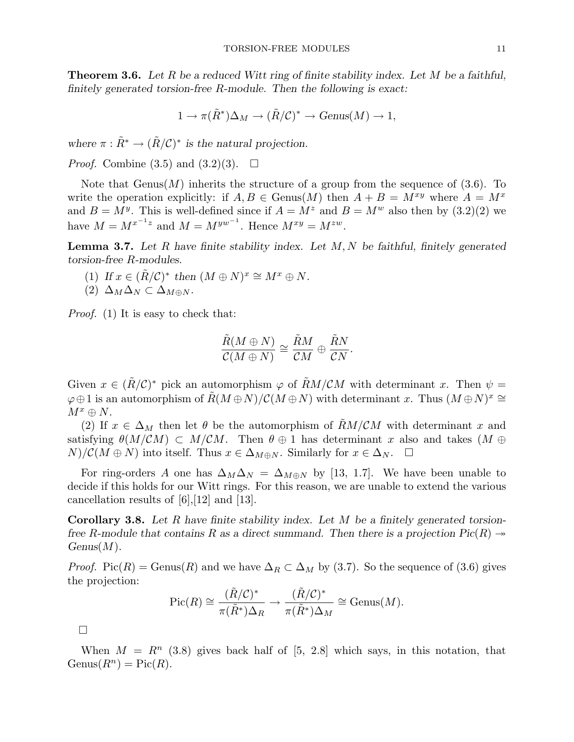**Theorem 3.6.** Let R be a reduced Witt ring of finite stability index. Let M be a faithful, finitely generated torsion-free R-module. Then the following is exact:

$$
1 \to \pi(\tilde{R}^*) \Delta_M \to (\tilde{R}/\mathcal{C})^* \to \text{Genus}(M) \to 1,
$$

where  $\pi : \tilde{R}^* \to (\tilde{R}/\mathcal{C})^*$  is the natural projection.

*Proof.* Combine  $(3.5)$  and  $(3.2)(3)$ .  $\Box$ 

Note that Genus(M) inherits the structure of a group from the sequence of  $(3.6)$ . To write the operation explicitly: if  $A, B \in \text{Genus}(M)$  then  $A + B = M^{xy}$  where  $A = M^x$ and  $B = M^y$ . This is well-defined since if  $A = M^z$  and  $B = M^w$  also then by  $(3.2)(2)$  we have  $M = M^{x^{-1}z}$  and  $M = M^{yw^{-1}}$ . Hence  $M^{xy} = M^{zw}$ .

**Lemma 3.7.** Let R have finite stability index. Let  $M, N$  be faithful, finitely generated torsion-free R-modules.

- (1) If  $x \in (\tilde{R}/\mathcal{C})^*$  then  $(M \oplus N)^x \cong M^x \oplus N$ .
- (2)  $\Delta_M \Delta_N \subset \Delta_{M \oplus N}$ .

Proof. (1) It is easy to check that:

$$
\frac{\tilde{R}(M \oplus N)}{\mathcal{C}(M \oplus N)} \cong \frac{\tilde{R}M}{\mathcal{C}M} \oplus \frac{\tilde{R}N}{\mathcal{C}N}.
$$

Given  $x \in (\tilde{R}/\mathcal{C})^*$  pick an automorphism  $\varphi$  of  $\tilde{R}M/\mathcal{C}M$  with determinant x. Then  $\psi =$  $\varphi \oplus 1$  is an automorphism of  $\tilde{R}(M \oplus N)/\mathcal{C}(M \oplus N)$  with determinant x. Thus  $(M \oplus N)^x \cong$  $M^x \oplus N$ .

(2) If  $x \in \Delta_M$  then let  $\theta$  be the automorphism of  $RM/CM$  with determinant x and satisfying  $\theta(M/CM) \subset M/CM$ . Then  $\theta \oplus 1$  has determinant x also and takes  $(M \oplus$  $N/\mathcal{C}(M \oplus N)$  into itself. Thus  $x \in \Delta_{M \oplus N}$ . Similarly for  $x \in \Delta_N$ .  $\Box$ 

For ring-orders A one has  $\Delta_M\Delta_N = \Delta_{M\oplus N}$  by [13, 1.7]. We have been unable to decide if this holds for our Witt rings. For this reason, we are unable to extend the various cancellation results of [6],[12] and [13].

**Corollary 3.8.** Let R have finite stability index. Let M be a finitely generated torsionfree R-module that contains R as a direct summand. Then there is a projection  $Pic(R) \rightarrow$  $Genus(M).$ 

*Proof.* Pic(R) = Genus(R) and we have  $\Delta_R \subset \Delta_M$  by (3.7). So the sequence of (3.6) gives the projection:

$$
\operatorname{Pic}(R) \cong \frac{(\tilde{R}/\mathcal{C})^*}{\pi(\tilde{R}^*)\Delta_R} \to \frac{(\tilde{R}/\mathcal{C})^*}{\pi(\tilde{R}^*)\Delta_M} \cong \operatorname{Genus}(M).
$$

¤

When  $M = R^{n}$  (3.8) gives back half of [5, 2.8] which says, in this notation, that  $Genus(R^n) = Pic(R).$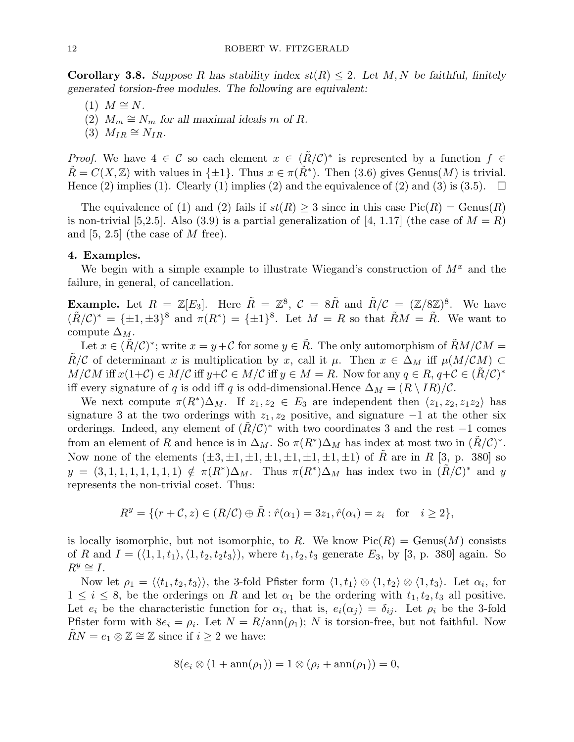**Corollary 3.8.** Suppose R has stability index  $st(R) \leq 2$ . Let M, N be faithful, finitely generated torsion-free modules. The following are equivalent:

- $(1)$   $M \cong N$ .
- (2)  $M_m \cong N_m$  for all maximal ideals m of R.
- $(3)$   $M_{IR} \cong N_{IR}$ .

*Proof.* We have  $4 \in \mathcal{C}$  so each element  $x \in (\tilde{R}/\mathcal{C})^*$  is represented by a function  $f \in$  $\tilde{R} = C(X, \mathbb{Z})$  with values in  $\{\pm 1\}$ . Thus  $x \in \pi(\tilde{R}^*)$ . Then (3.6) gives Genus(M) is trivial. Hence (2) implies (1). Clearly (1) implies (2) and the equivalence of (2) and (3) is (3.5).  $\Box$ 

The equivalence of (1) and (2) fails if  $st(R) \geq 3$  since in this case  $Pic(R) = Genus(R)$ is non-trivial [5,2.5]. Also (3.9) is a partial generalization of [4, 1.17] (the case of  $M = R$ ) and  $[5, 2.5]$  (the case of M free).

# 4. Examples.

We begin with a simple example to illustrate Wiegand's construction of  $M^x$  and the failure, in general, of cancellation.

**Example.** Let  $R = \mathbb{Z}[E_3]$ . Here  $\tilde{R} = \mathbb{Z}^8$ ,  $C = 8\tilde{R}$  and  $\tilde{R}/C = (\mathbb{Z}/8\mathbb{Z})^8$ . We have  $(\tilde{R}/\mathcal{C})^* = {\pm 1, \pm 3}^8$  and  $\pi(R^*) = {\pm 1}^8$ . Let  $M = R$  so that  $\tilde{R}M = \tilde{R}$ . We want to compute  $\Delta_M$ .

Let  $x \in (\tilde{R}/\mathcal{C})^*$ ; write  $x = y+\mathcal{C}$  for some  $y \in \tilde{R}$ . The only automorphism of  $\tilde{R}M/\mathcal{C}M =$ R/C of determinant x is multiplication by x, call it  $\mu$ . Then  $x \in \Delta_M$  iff  $\mu(M/CM) \subset$  $M/CM$  iff  $x(1+C) \in M/C$  iff  $y+C \in M/C$  iff  $y \in M = R$ . Now for any  $q \in R$ ,  $q+C \in (\tilde{R}/C)^*$ iff every signature of q is odd iff q is odd-dimensional.Hence  $\Delta_M = (R \setminus IR)/C$ .

We next compute  $\pi(R^*)\Delta_M$ . If  $z_1, z_2 \in E_3$  are independent then  $\langle z_1, z_2, z_1z_2 \rangle$  has signature 3 at the two orderings with  $z_1, z_2$  positive, and signature  $-1$  at the other six orderings. Indeed, any element of  $(\tilde{R}/\mathcal{C})^*$  with two coordinates 3 and the rest -1 comes from an element of R and hence is in  $\Delta_M$ . So  $\pi(R^*)\Delta_M$  has index at most two in  $(\tilde{R}/\mathcal{C})^*$ . Now none of the elements  $(\pm 3, \pm 1, \pm 1, \pm 1, \pm 1, \pm 1, \pm 1, \pm 1)$  of R are in R [3, p. 380] so  $y = (3, 1, 1, 1, 1, 1, 1, 1) \notin \pi(R^*)\Delta_M$ . Thus  $\pi(R^*)\Delta_M$  has index two in  $(\tilde{R}/\mathcal{C})^*$  and y represents the non-trivial coset. Thus:

$$
R^y = \{ (r + \mathcal{C}, z) \in (R/\mathcal{C}) \oplus \tilde{R} : \hat{r}(\alpha_1) = 3z_1, \hat{r}(\alpha_i) = z_i \text{ for } i \ge 2 \},
$$

is locally isomorphic, but not isomorphic, to R. We know  $Pic(R) = Genus(M)$  consists of R and  $I = (\langle 1, 1, t_1 \rangle, \langle 1, t_2, t_2t_3 \rangle)$ , where  $t_1, t_2, t_3$  generate  $E_3$ , by [3, p. 380] again. So  $R^y \cong I$ .

Now let  $\rho_1 = \langle \langle t_1, t_2, t_3 \rangle \rangle$ , the 3-fold Pfister form  $\langle 1, t_1 \rangle \otimes \langle 1, t_2 \rangle \otimes \langle 1, t_3 \rangle$ . Let  $\alpha_i$ , for  $1 \leq i \leq 8$ , be the orderings on R and let  $\alpha_1$  be the ordering with  $t_1, t_2, t_3$  all positive. Let  $e_i$  be the characteristic function for  $\alpha_i$ , that is,  $e_i(\alpha_j) = \delta_{ij}$ . Let  $\rho_i$  be the 3-fold Pfister form with  $8e_i = \rho_i$ . Let  $N = R/\text{ann}(\rho_1)$ ; N is torsion-free, but not faithful. Now  $RN = e_1 \otimes \mathbb{Z} \cong \mathbb{Z}$  since if  $i \geq 2$  we have:

$$
8(e_i \otimes (1 + \operatorname{ann}(\rho_1)) = 1 \otimes (\rho_i + \operatorname{ann}(\rho_1)) = 0,
$$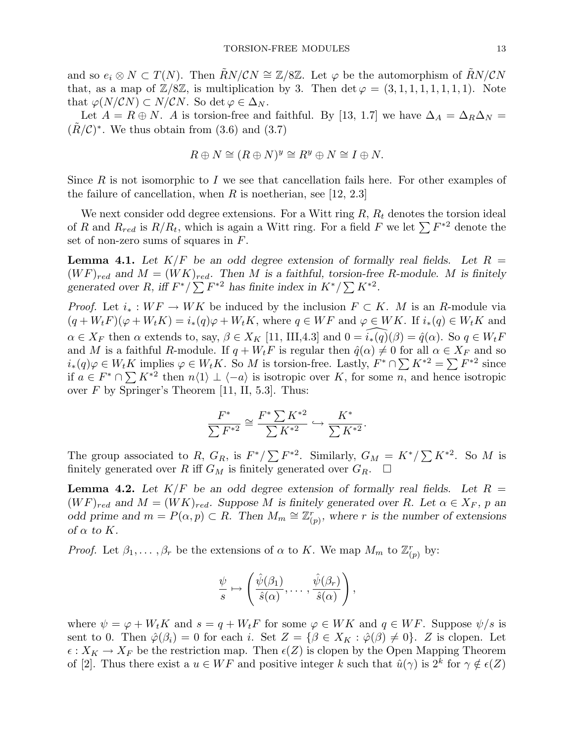and so  $e_i \otimes N \subset T(N)$ . Then  $RN/CN \cong \mathbb{Z}/8\mathbb{Z}$ . Let  $\varphi$  be the automorphism of  $RN/CN$ that, as a map of  $\mathbb{Z}/8\mathbb{Z}$ , is multiplication by 3. Then  $\det \varphi = (3, 1, 1, 1, 1, 1, 1, 1)$ . Note that  $\varphi(N/CN) \subset N/CN$ . So det  $\varphi \in \Delta_N$ .

Let  $A = R \oplus N$ . A is torsion-free and faithful. By [13, 1.7] we have  $\Delta_A = \Delta_R \Delta_N =$  $(\tilde{R}/\mathcal{C})^*$ . We thus obtain from (3.6) and (3.7)

$$
R \oplus N \cong (R \oplus N)^y \cong R^y \oplus N \cong I \oplus N.
$$

Since  $R$  is not isomorphic to  $I$  we see that cancellation fails here. For other examples of the failure of cancellation, when R is noetherian, see [12, 2.3]

We next consider odd degree extensions. For a Witt ring  $R$ ,  $R_t$  denotes the torsion ideal we next consider odd degree extensions. For a witt ring  $R$ ,  $R_t$  denotes the torsion ideal of R and  $R_{red}$  is  $R/R_t$ , which is again a Witt ring. For a field F we let  $\sum F^{*2}$  denote the set of non-zero sums of squares in F.

**Lemma 4.1.** Let  $K/F$  be an odd degree extension of formally real fields. Let  $R =$  $(WF)_{red}$  and  $M = (WK)_{red}$ . Then M is a faithful, torsion-free R-module. M is finitely  $(W F)_{red}$  and  $M = (W K)_{red}$ . Then M is a faithful, torsion-free<br>generated over R, iff  $F^*/\sum F^{*2}$  has finite index in  $K^*/\sum K^{*2}$ .

*Proof.* Let  $i_* : WF \to WK$  be induced by the inclusion  $F \subset K$ . M is an R-module via  $(q + W_t F)(\varphi + W_t K) = i_*(q)\varphi + W_t K$ , where  $q \in WF$  and  $\varphi \in WK$ . If  $i_*(q) \in W_t K$  and  $\alpha \in X_F$  then  $\alpha$  extends to, say,  $\beta \in X_K$  [11, III,4.3] and  $0 = \widehat{i_*(q)}(\beta) = \widehat{q}(\alpha)$ . So  $q \in W_tF$ and M is a faithful R-module. If  $q + W_tF$  is regular then  $\hat{q}(\alpha) \neq 0$  for all  $\alpha \in X_F$  and so and M is a faiture *n*-module. If  $q + w_t r$  is regular then  $q(\alpha) \neq 0$  for an  $\alpha \in A_F$  and so  $i_*(q)\varphi \in W_t K$  implies  $\varphi \in W_t K$ . So M is torsion-free. Lastly,  $F^* \cap \sum K^{*2} = \sum F^{*2}$  since  $u_*(q)\varphi \in W_t\Lambda$  implies  $\varphi \in W_t\Lambda$ . So M is torsion-free. Lastly,  $F^{-1} \Sigma \Lambda^* = \Sigma F$  since<br>if  $a \in F^* \cap \Sigma K^{*2}$  then  $n\langle 1 \rangle \perp \langle -a \rangle$  is isotropic over K, for some n, and hence isotropic over  $F$  by Springer's Theorem [11, II, 5.3]. Thus:

$$
\frac{F^*}{\sum F^{*2}} \cong \frac{F^* \sum K^{*2}}{\sum K^{*2}} \hookrightarrow \frac{K^*}{\sum K^{*2}}.
$$

The group associated to R,  $G_R$ , is  $F^*/\sum F^{*2}$ . Similarly,  $G_M = K^*/\sum K^{*2}$ . So M is finitely generated over  $R$  iff  $G_M$  is finitely generated over  $G_R.$   $\;\;\Box$ 

**Lemma 4.2.** Let  $K/F$  be an odd degree extension of formally real fields. Let  $R =$  $(W F)_{red}$  and  $M = (W K)_{red}$ . Suppose M is finitely generated over R. Let  $\alpha \in X_F$ , p and odd prime and  $m = P(\alpha, p) \subset R$ . Then  $M_m \cong \mathbb{Z}_\ell^n$  $C_{(p)}^r$ , where r is the number of extensions of  $\alpha$  to  $K$ .

*Proof.* Let  $\beta_1, \ldots, \beta_r$  be the extensions of  $\alpha$  to K. We map  $M_m$  to  $\mathbb{Z}_{\ell}^r$  $_{(p)}^r$  by:

$$
\frac{\psi}{s} \mapsto \left( \frac{\hat{\psi}(\beta_1)}{\hat{s}(\alpha)}, \dots, \frac{\hat{\psi}(\beta_r)}{\hat{s}(\alpha)} \right),
$$

where  $\psi = \varphi + W_t K$  and  $s = q + W_t F$  for some  $\varphi \in W K$  and  $q \in WF$ . Suppose  $\psi/s$  is sent to 0. Then  $\hat{\varphi}(\beta_i) = 0$  for each i. Set  $Z = {\beta \in X_K : \hat{\varphi}(\beta) \neq 0}$ . Z is clopen. Let  $\epsilon: X_K \to X_F$  be the restriction map. Then  $\epsilon(Z)$  is clopen by the Open Mapping Theorem of [2]. Thus there exist a  $u \in WF$  and positive integer k such that  $\hat{u}(\gamma)$  is  $2^k$  for  $\gamma \notin \epsilon(Z)$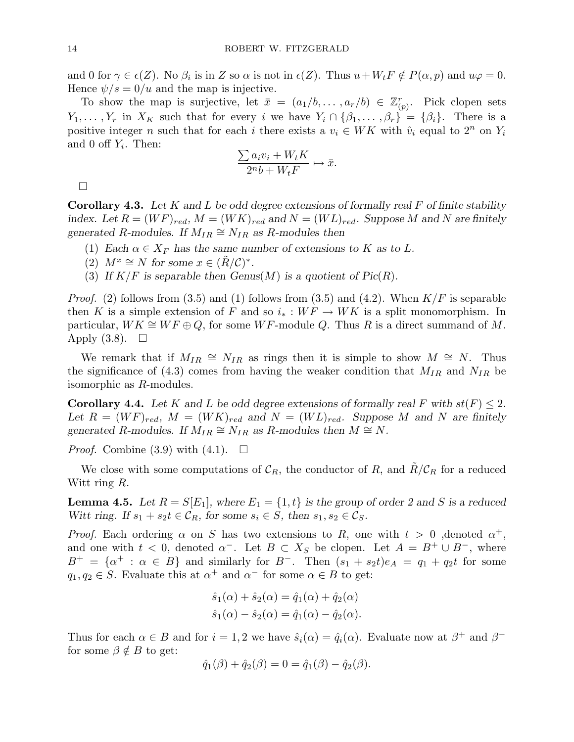and 0 for  $\gamma \in \epsilon(Z)$ . No  $\beta_i$  is in Z so  $\alpha$  is not in  $\epsilon(Z)$ . Thus  $u+W_tF \notin P(\alpha, p)$  and  $u\varphi = 0$ . Hence  $\psi/s = 0/u$  and the map is injective.

To show the map is surjective, let  $\bar{x} = (a_1/b, \ldots, a_r/b) \in \mathbb{Z}_{p}^r$  $r_{(p)}^r$ . Pick clopen sets  $Y_1, \ldots, Y_r$  in  $X_K$  such that for every i we have  $Y_i \cap {\beta_1, \ldots, \beta_r} = {\beta_i}.$  There is a positive integer n such that for each i there exists a  $v_i \in WK$  with  $\hat{v}_i$  equal to  $2^n$  on  $Y_i$ and 0 off  $Y_i$ . Then:

$$
\frac{\sum a_i v_i + W_t K}{2^n b + W_t F} \mapsto \bar{x}.
$$

¤

**Corollary 4.3.** Let K and L be odd degree extensions of formally real F of finite stability index. Let  $R = (WF)_{red}, M = (WK)_{red}$  and  $N = (WL)_{red}$ . Suppose M and N are finitely generated R-modules. If  $M_{IR} \cong N_{IR}$  as R-modules then

- (1) Each  $\alpha \in X_F$  has the same number of extensions to K as to L.
- (2)  $M^x \cong N$  for some  $x \in (\tilde{R}/\mathcal{C})^*$ .
- (3) If  $K/F$  is separable then  $Genus(M)$  is a quotient of  $Pic(R)$ .

*Proof.* (2) follows from (3.5) and (1) follows from (3.5) and (4.2). When  $K/F$  is separable then K is a simple extension of F and so  $i_* : WF \to WK$  is a split monomorphism. In particular,  $WK \cong WF \oplus Q$ , for some WF-module Q. Thus R is a direct summand of M. Apply  $(3.8)$ .  $\square$ 

We remark that if  $M_{IR} \cong N_{IR}$  as rings then it is simple to show  $M \cong N$ . Thus the significance of (4.3) comes from having the weaker condition that  $M_{IR}$  and  $N_{IR}$  be isomorphic as R-modules.

**Corollary 4.4.** Let K and L be odd degree extensions of formally real F with  $st(F) \leq 2$ . Let  $R = (WF)_{red}$ ,  $M = (WK)_{red}$  and  $N = (WL)_{red}$ . Suppose M and N are finitely generated R-modules. If  $M_{IR} \cong N_{IR}$  as R-modules then  $M \cong N$ .

*Proof.* Combine (3.9) with (4.1).  $\Box$ 

We close with some computations of  $\mathcal{C}_R$ , the conductor of R, and  $R/\mathcal{C}_R$  for a reduced Witt ring R.

**Lemma 4.5.** Let  $R = S[E_1]$ , where  $E_1 = \{1, t\}$  is the group of order 2 and S is a reduced Witt ring. If  $s_1 + s_2t \in \mathcal{C}_R$ , for some  $s_i \in S$ , then  $s_1, s_2 \in \mathcal{C}_S$ .

*Proof.* Each ordering  $\alpha$  on S has two extensions to R, one with  $t > 0$ , denoted  $\alpha^+$ , and one with  $t < 0$ , denoted  $\alpha^-$ . Let  $B \subset X_S$  be clopen. Let  $A = B^+ \cup B^-$ , where  $B^+ = \{\alpha^+ : \alpha \in B\}$  and similarly for  $B^-$ . Then  $(s_1 + s_2t)e_A = q_1 + q_2t$  for some  $q_1, q_2 \in S$ . Evaluate this at  $\alpha^+$  and  $\alpha^-$  for some  $\alpha \in B$  to get:

$$
\hat{s}_1(\alpha) + \hat{s}_2(\alpha) = \hat{q}_1(\alpha) + \hat{q}_2(\alpha)
$$
  

$$
\hat{s}_1(\alpha) - \hat{s}_2(\alpha) = \hat{q}_1(\alpha) - \hat{q}_2(\alpha).
$$

Thus for each  $\alpha \in B$  and for  $i = 1, 2$  we have  $\hat{s}_i(\alpha) = \hat{q}_i(\alpha)$ . Evaluate now at  $\beta^+$  and  $\beta^$ for some  $\beta \notin B$  to get:

$$
\hat{q}_1(\beta) + \hat{q}_2(\beta) = 0 = \hat{q}_1(\beta) - \hat{q}_2(\beta).
$$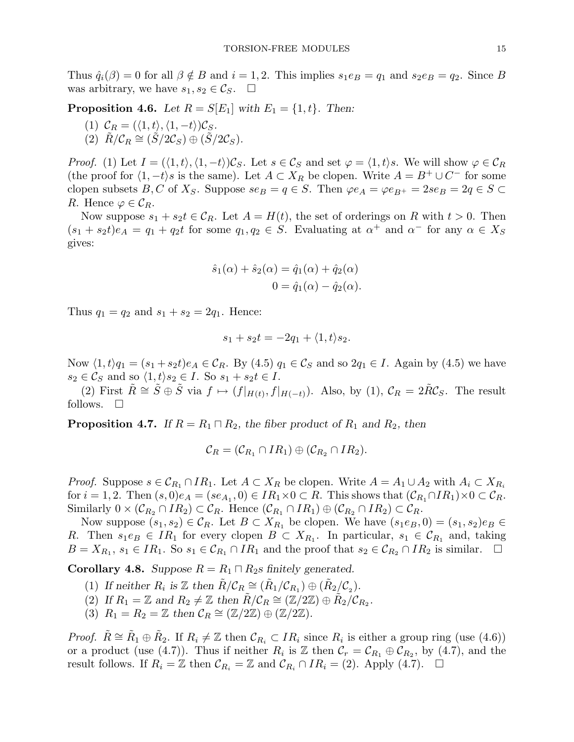Thus  $\hat{q}_i(\beta) = 0$  for all  $\beta \notin B$  and  $i = 1, 2$ . This implies  $s_1 e_B = q_1$  and  $s_2 e_B = q_2$ . Since B was arbitrary, we have  $s_1, s_2 \in \mathcal{C}_S$ .  $\Box$ 

**Proposition 4.6.** Let  $R = S[E_1]$  with  $E_1 = \{1, t\}$ . Then:

(1) 
$$
C_R = (\langle 1, t \rangle, \langle 1, -t \rangle) C_S.
$$

(2) 
$$
\tilde{R}/\mathcal{C}_R \cong (\tilde{S}/2\mathcal{C}_S) \oplus (\tilde{S}/2\mathcal{C}_S).
$$

*Proof.* (1) Let  $I = (\langle 1, t \rangle, \langle 1, -t \rangle)C_S$ . Let  $s \in C_S$  and set  $\varphi = \langle 1, t \rangle s$ . We will show  $\varphi \in C_R$ (the proof for  $\langle 1, -t \rangle$ s is the same). Let  $A \subset X_R$  be clopen. Write  $A = B^+ \cup C^-$  for some clopen subsets B, C of  $X_S$ . Suppose  $se_B = q \in S$ . Then  $\varphi e_A = \varphi e_{B^+} = 2se_B = 2q \in S$ R. Hence  $\varphi \in \mathcal{C}_R$ .

Now suppose  $s_1 + s_2t \in \mathcal{C}_R$ . Let  $A = H(t)$ , the set of orderings on R with  $t > 0$ . Then  $(s_1 + s_2t)e_A = q_1 + q_2t$  for some  $q_1, q_2 \in S$ . Evaluating at  $\alpha^+$  and  $\alpha^-$  for any  $\alpha \in X_S$ gives:

$$
\hat{s}_1(\alpha) + \hat{s}_2(\alpha) = \hat{q}_1(\alpha) + \hat{q}_2(\alpha)
$$

$$
0 = \hat{q}_1(\alpha) - \hat{q}_2(\alpha).
$$

Thus  $q_1 = q_2$  and  $s_1 + s_2 = 2q_1$ . Hence:

$$
s_1 + s_2t = -2q_1 + \langle 1, t \rangle s_2.
$$

Now  $\langle 1, t \rangle q_1 = (s_1 + s_2t)e_A \in C_R$ . By  $(4.5)$   $q_1 \in C_S$  and so  $2q_1 \in I$ . Again by  $(4.5)$  we have  $s_2 \in \mathcal{C}_S$  and so  $\langle 1, t \rangle s_2 \in I$ . So  $s_1 + s_2t \in I$ .

(2) First  $\tilde{R} \cong \tilde{S} \oplus \tilde{S}$  via  $f \mapsto (f|_{H(t)}, f|_{H(-t)})$ . Also, by (1),  $\mathcal{C}_R = 2\tilde{R}\mathcal{C}_S$ . The result follows.  $\square$ 

**Proposition 4.7.** If  $R = R_1 \sqcap R_2$ , the fiber product of  $R_1$  and  $R_2$ , then

$$
\mathcal{C}_R = (\mathcal{C}_{R_1} \cap IR_1) \oplus (\mathcal{C}_{R_2} \cap IR_2).
$$

*Proof.* Suppose  $s \in \mathcal{C}_{R_1} \cap IR_1$ . Let  $A \subset X_R$  be clopen. Write  $A = A_1 \cup A_2$  with  $A_i \subset X_{R_i}$ for  $i = 1, 2$ . Then  $(s, 0)e_A = (se_{A_1}, 0) \in IR_1 \times 0 \subset R$ . This shows that  $(\mathcal{C}_{R_1} \cap IR_1) \times 0 \subset \mathcal{C}_R$ . Similarly  $0 \times (\mathcal{C}_{R_2} \cap IR_2) \subset \mathcal{C}_R$ . Hence  $(\mathcal{C}_{R_1} \cap IR_1) \oplus (\mathcal{C}_{R_2} \cap IR_2) \subset \mathcal{C}_R$ .

Now suppose  $(s_1, s_2) \in \mathcal{C}_R$ . Let  $B \subset X_{R_1}$  be clopen. We have  $(s_1e_B, 0) = (s_1, s_2)e_B \in \mathcal{C}_R$ R. Then  $s_1e_B \in IR_1$  for every clopen  $B \subset X_{R_1}$ . In particular,  $s_1 \in C_{R_1}$  and, taking  $B = X_{R_1}, s_1 \in IR_1$ . So  $s_1 \in C_{R_1} \cap IR_1$  and the proof that  $s_2 \in C_{R_2} \cap IR_2$  is similar.  $\Box$ 

**Corollary 4.8.** Suppose  $R = R_1 \sqcap R_2$ s finitely generated.

- (1) If neither  $R_i$  is  $\mathbb{Z}$  then  $\tilde{R}/\mathcal{C}_R \cong (\tilde{R}_1/\mathcal{C}_{R_1}) \oplus (\tilde{R}_2/\mathcal{C}_2)$ .
- (2) If  $R_1 = \mathbb{Z}$  and  $R_2 \neq \mathbb{Z}$  then  $\tilde{R}/\tilde{\mathcal{C}}_R \cong (\mathbb{Z}/2\mathbb{Z}) \oplus \tilde{R}_2/\mathcal{C}_{R_2}$ .
- (3)  $R_1 = R_2 = \mathbb{Z}$  then  $\mathcal{C}_R \cong (\mathbb{Z}/2\mathbb{Z}) \oplus (\mathbb{Z}/2\mathbb{Z}).$

*Proof.*  $\tilde{R} \cong \tilde{R}_1 \oplus \tilde{R}_2$ . If  $R_i \neq \mathbb{Z}$  then  $\mathcal{C}_{R_i} \subset IR_i$  since  $R_i$  is either a group ring (use (4.6)) or a product (use (4.7)). Thus if neither  $R_i$  is  $\mathbb Z$  then  $\mathcal C_r = \mathcal C_{R_1} \oplus \mathcal C_{R_2}$ , by (4.7), and the result follows. If  $R_i = \mathbb{Z}$  then  $\mathcal{C}_{R_i} = \mathbb{Z}$  and  $\mathcal{C}_{R_i} \cap IR_i = (2)$ . Apply (4.7).  $\Box$